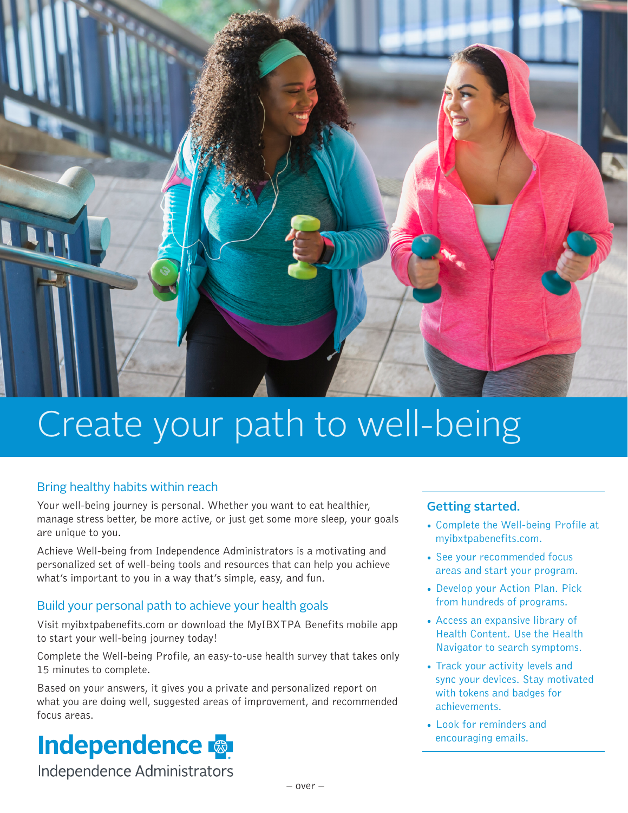

# Create your path to well-being

#### Bring healthy habits within reach

Your well-being journey is personal. Whether you want to eat healthier, manage stress better, be more active, or just get some more sleep, your goals are unique to you.

Achieve Well-being from Independence Administrators is a motivating and personalized set of well-being tools and resources that can help you achieve what's important to you in a way that's simple, easy, and fun.

#### Build your personal path to achieve your health goals

Visit myibxtpabenefits.com or download the MyIBXTPA Benefits mobile app to start your well-being journey today!

Complete the Well-being Profile, an easy-to-use health survey that takes only 15 minutes to complete.

Based on your answers, it gives you a private and personalized report on what you are doing well, suggested areas of improvement, and recommended focus areas.

## **Independence &**

Independence Administrators

#### Getting started.

- Complete the Well-being Profile at myibxtpabenefits.com.
- See your recommended focus areas and start your program.
- Develop your Action Plan. Pick from hundreds of programs.
- Access an expansive library of Health Content. Use the Health Navigator to search symptoms.
- Track your activity levels and sync your devices. Stay motivated with tokens and badges for achievements.
- • Look for reminders and encouraging emails.